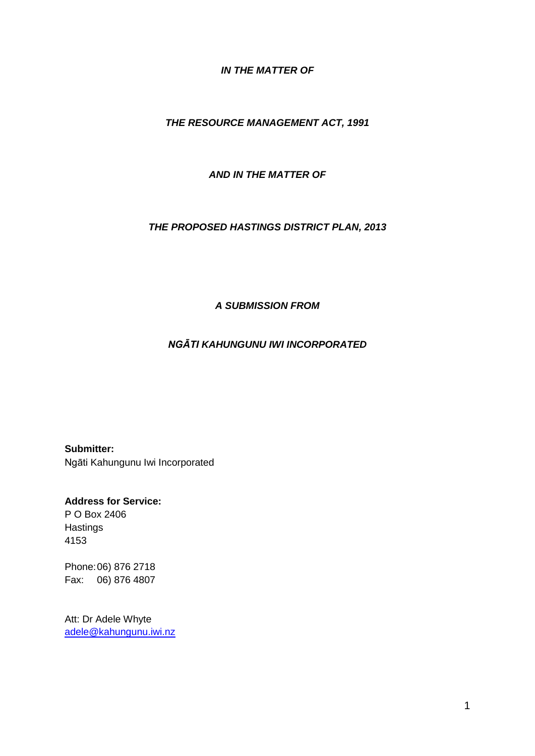#### *IN THE MATTER OF*

#### *THE RESOURCE MANAGEMENT ACT, 1991*

#### *AND IN THE MATTER OF*

#### *THE PROPOSED HASTINGS DISTRICT PLAN, 2013*

#### *A SUBMISSION FROM*

### *NGĀTI KAHUNGUNU IWI INCORPORATED*

**Submitter:** Ngāti Kahungunu Iwi Incorporated

**Address for Service:** P O Box 2406 **Hastings** 4153

Phone:06) 876 2718 Fax: 06) 876 4807

Att: Dr Adele Whyte [adele@kahungunu.iwi.nz](mailto:adele@kahungunu.iwi.nz)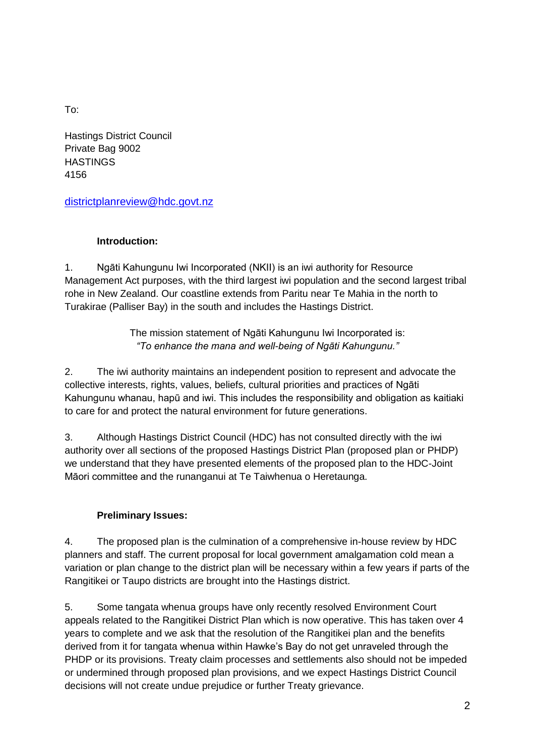To:

Hastings District Council Private Bag 9002 **HASTINGS** 4156

[districtplanreview@hdc.govt.nz](mailto:districtplanreview@hdc.govt.nz)

## **Introduction:**

1. Ngāti Kahungunu Iwi Incorporated (NKII) is an iwi authority for Resource Management Act purposes, with the third largest iwi population and the second largest tribal rohe in New Zealand. Our coastline extends from Paritu near Te Mahia in the north to Turakirae (Palliser Bay) in the south and includes the Hastings District.

> The mission statement of Ngāti Kahungunu Iwi Incorporated is: *"To enhance the mana and well-being of Ngāti Kahungunu."*

2. The iwi authority maintains an independent position to represent and advocate the collective interests, rights, values, beliefs, cultural priorities and practices of Ngāti Kahungunu whanau, hapū and iwi. This includes the responsibility and obligation as kaitiaki to care for and protect the natural environment for future generations.

3. Although Hastings District Council (HDC) has not consulted directly with the iwi authority over all sections of the proposed Hastings District Plan (proposed plan or PHDP) we understand that they have presented elements of the proposed plan to the HDC-Joint Māori committee and the runanganui at Te Taiwhenua o Heretaunga.

# **Preliminary Issues:**

4. The proposed plan is the culmination of a comprehensive in-house review by HDC planners and staff. The current proposal for local government amalgamation cold mean a variation or plan change to the district plan will be necessary within a few years if parts of the Rangitikei or Taupo districts are brought into the Hastings district.

5. Some tangata whenua groups have only recently resolved Environment Court appeals related to the Rangitikei District Plan which is now operative. This has taken over 4 years to complete and we ask that the resolution of the Rangitikei plan and the benefits derived from it for tangata whenua within Hawke's Bay do not get unraveled through the PHDP or its provisions. Treaty claim processes and settlements also should not be impeded or undermined through proposed plan provisions, and we expect Hastings District Council decisions will not create undue prejudice or further Treaty grievance.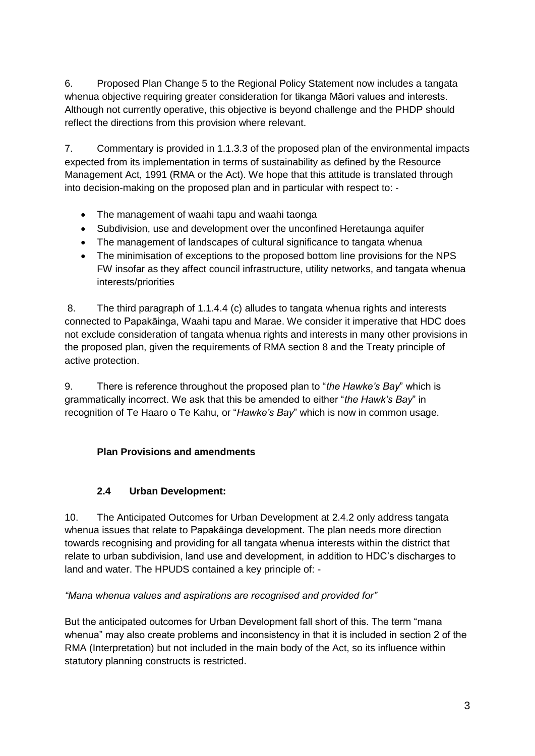6. Proposed Plan Change 5 to the Regional Policy Statement now includes a tangata whenua objective requiring greater consideration for tikanga Māori values and interests. Although not currently operative, this objective is beyond challenge and the PHDP should reflect the directions from this provision where relevant.

7. Commentary is provided in 1.1.3.3 of the proposed plan of the environmental impacts expected from its implementation in terms of sustainability as defined by the Resource Management Act, 1991 (RMA or the Act). We hope that this attitude is translated through into decision-making on the proposed plan and in particular with respect to: -

- The management of waahi tapu and waahi taonga
- Subdivision, use and development over the unconfined Heretaunga aquifer
- The management of landscapes of cultural significance to tangata whenua
- The minimisation of exceptions to the proposed bottom line provisions for the NPS FW insofar as they affect council infrastructure, utility networks, and tangata whenua interests/priorities

8. The third paragraph of 1.1.4.4 (c) alludes to tangata whenua rights and interests connected to Papakāinga, Waahi tapu and Marae. We consider it imperative that HDC does not exclude consideration of tangata whenua rights and interests in many other provisions in the proposed plan, given the requirements of RMA section 8 and the Treaty principle of active protection.

9. There is reference throughout the proposed plan to "*the Hawke's Bay*" which is grammatically incorrect. We ask that this be amended to either "*the Hawk's Bay*" in recognition of Te Haaro o Te Kahu, or "*Hawke's Bay*" which is now in common usage.

# **Plan Provisions and amendments**

# **2.4 Urban Development:**

10. The Anticipated Outcomes for Urban Development at 2.4.2 only address tangata whenua issues that relate to Papakāinga development. The plan needs more direction towards recognising and providing for all tangata whenua interests within the district that relate to urban subdivision, land use and development, in addition to HDC's discharges to land and water. The HPUDS contained a key principle of: -

# *"Mana whenua values and aspirations are recognised and provided for"*

But the anticipated outcomes for Urban Development fall short of this. The term "mana whenua" may also create problems and inconsistency in that it is included in section 2 of the RMA (Interpretation) but not included in the main body of the Act, so its influence within statutory planning constructs is restricted.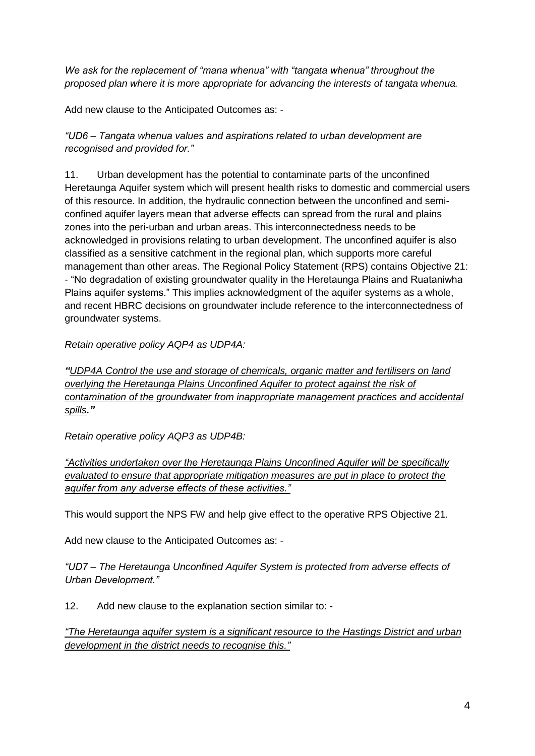*We ask for the replacement of "mana whenua" with "tangata whenua" throughout the proposed plan where it is more appropriate for advancing the interests of tangata whenua.*

Add new clause to the Anticipated Outcomes as: -

*"UD6 – Tangata whenua values and aspirations related to urban development are recognised and provided for."*

11. Urban development has the potential to contaminate parts of the unconfined Heretaunga Aquifer system which will present health risks to domestic and commercial users of this resource. In addition, the hydraulic connection between the unconfined and semiconfined aquifer layers mean that adverse effects can spread from the rural and plains zones into the peri-urban and urban areas. This interconnectedness needs to be acknowledged in provisions relating to urban development. The unconfined aquifer is also classified as a sensitive catchment in the regional plan, which supports more careful management than other areas. The Regional Policy Statement (RPS) contains Objective 21: - "No degradation of existing groundwater quality in the Heretaunga Plains and Ruataniwha Plains aquifer systems." This implies acknowledgment of the aquifer systems as a whole, and recent HBRC decisions on groundwater include reference to the interconnectedness of groundwater systems.

*Retain operative policy AQP4 as UDP4A:* 

*"UDP4A Control the use and storage of chemicals, organic matter and fertilisers on land overlying the Heretaunga Plains Unconfined Aquifer to protect against the risk of contamination of the groundwater from inappropriate management practices and accidental spills."*

*Retain operative policy AQP3 as UDP4B:*

*"Activities undertaken over the Heretaunga Plains Unconfined Aquifer will be specifically evaluated to ensure that appropriate mitigation measures are put in place to protect the aquifer from any adverse effects of these activities."*

This would support the NPS FW and help give effect to the operative RPS Objective 21.

Add new clause to the Anticipated Outcomes as: -

*"UD7 – The Heretaunga Unconfined Aquifer System is protected from adverse effects of Urban Development."*

12. Add new clause to the explanation section similar to: -

*"The Heretaunga aquifer system is a significant resource to the Hastings District and urban development in the district needs to recognise this."*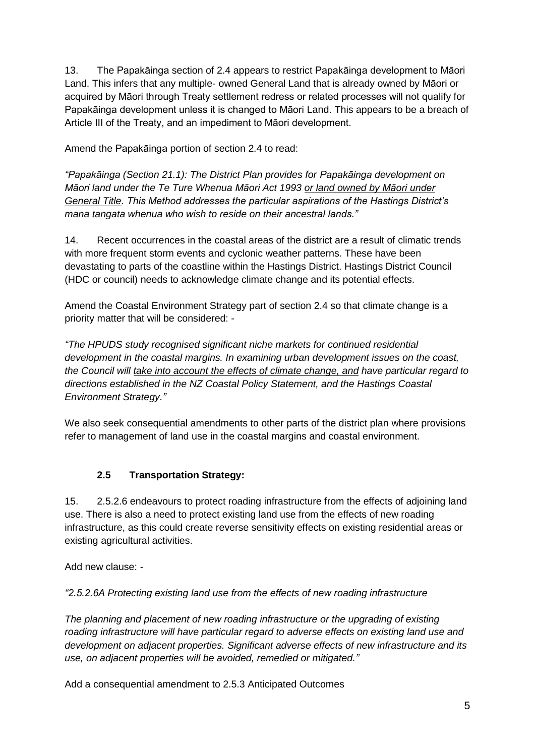13. The Papakāinga section of 2.4 appears to restrict Papakāinga development to Māori Land. This infers that any multiple- owned General Land that is already owned by Māori or acquired by Māori through Treaty settlement redress or related processes will not qualify for Papakāinga development unless it is changed to Māori Land. This appears to be a breach of Article III of the Treaty, and an impediment to Māori development.

Amend the Papakāinga portion of section 2.4 to read:

*"Papakāinga (Section 21.1): The District Plan provides for Papakāinga development on Māori land under the Te Ture Whenua Māori Act 1993 or land owned by Māori under General Title. This Method addresses the particular aspirations of the Hastings District's mana tangata whenua who wish to reside on their ancestral lands."*

14. Recent occurrences in the coastal areas of the district are a result of climatic trends with more frequent storm events and cyclonic weather patterns. These have been devastating to parts of the coastline within the Hastings District. Hastings District Council (HDC or council) needs to acknowledge climate change and its potential effects.

Amend the Coastal Environment Strategy part of section 2.4 so that climate change is a priority matter that will be considered: -

*"The HPUDS study recognised significant niche markets for continued residential development in the coastal margins. In examining urban development issues on the coast, the Council will take into account the effects of climate change, and have particular regard to directions established in the NZ Coastal Policy Statement, and the Hastings Coastal Environment Strategy."*

We also seek consequential amendments to other parts of the district plan where provisions refer to management of land use in the coastal margins and coastal environment.

# **2.5 Transportation Strategy:**

15. 2.5.2.6 endeavours to protect roading infrastructure from the effects of adjoining land use. There is also a need to protect existing land use from the effects of new roading infrastructure, as this could create reverse sensitivity effects on existing residential areas or existing agricultural activities.

Add new clause: -

*"2.5.2.6A Protecting existing land use from the effects of new roading infrastructure*

*The planning and placement of new roading infrastructure or the upgrading of existing roading infrastructure will have particular regard to adverse effects on existing land use and development on adjacent properties. Significant adverse effects of new infrastructure and its use, on adjacent properties will be avoided, remedied or mitigated."*

Add a consequential amendment to 2.5.3 Anticipated Outcomes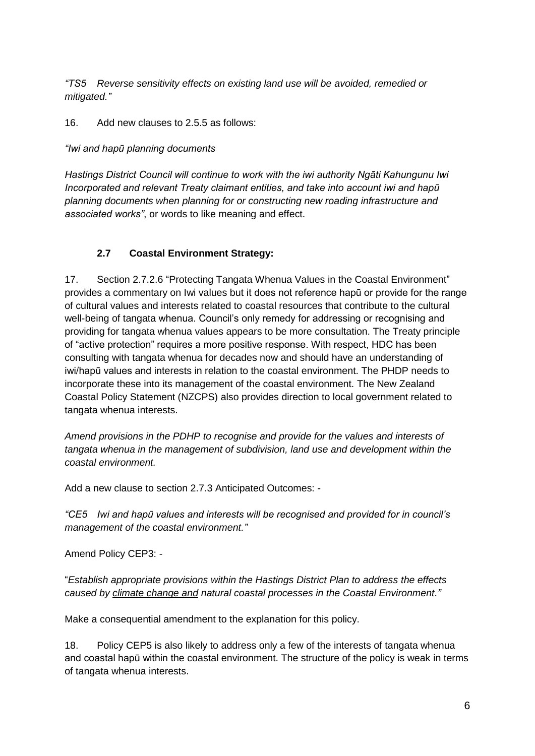*"TS5 Reverse sensitivity effects on existing land use will be avoided, remedied or mitigated."*

16. Add new clauses to 2.5.5 as follows:

*"Iwi and hapū planning documents*

*Hastings District Council will continue to work with the iwi authority Ngāti Kahungunu Iwi Incorporated and relevant Treaty claimant entities, and take into account iwi and hapū planning documents when planning for or constructing new roading infrastructure and associated works"*, or words to like meaning and effect.

## **2.7 Coastal Environment Strategy:**

17. Section 2.7.2.6 "Protecting Tangata Whenua Values in the Coastal Environment" provides a commentary on Iwi values but it does not reference hapū or provide for the range of cultural values and interests related to coastal resources that contribute to the cultural well-being of tangata whenua. Council's only remedy for addressing or recognising and providing for tangata whenua values appears to be more consultation. The Treaty principle of "active protection" requires a more positive response. With respect, HDC has been consulting with tangata whenua for decades now and should have an understanding of iwi/hapū values and interests in relation to the coastal environment. The PHDP needs to incorporate these into its management of the coastal environment. The New Zealand Coastal Policy Statement (NZCPS) also provides direction to local government related to tangata whenua interests.

*Amend provisions in the PDHP to recognise and provide for the values and interests of tangata whenua in the management of subdivision, land use and development within the coastal environment.*

Add a new clause to section 2.7.3 Anticipated Outcomes: -

*"CE5 Iwi and hapū values and interests will be recognised and provided for in council's management of the coastal environment."*

Amend Policy CEP3: -

"*Establish appropriate provisions within the Hastings District Plan to address the effects caused by climate change and natural coastal processes in the Coastal Environment."*

Make a consequential amendment to the explanation for this policy.

18. Policy CEP5 is also likely to address only a few of the interests of tangata whenua and coastal hapū within the coastal environment. The structure of the policy is weak in terms of tangata whenua interests.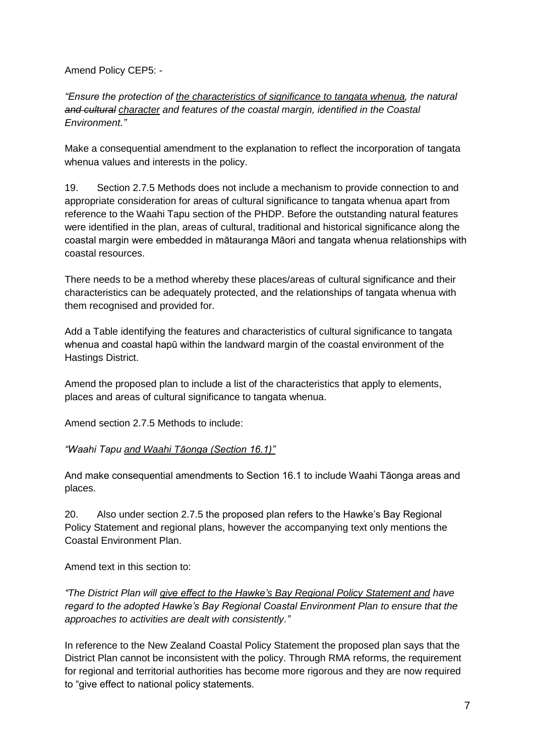Amend Policy CEP5: -

*"Ensure the protection of the characteristics of significance to tangata whenua, the natural and cultural character and features of the coastal margin, identified in the Coastal Environment."*

Make a consequential amendment to the explanation to reflect the incorporation of tangata whenua values and interests in the policy.

19. Section 2.7.5 Methods does not include a mechanism to provide connection to and appropriate consideration for areas of cultural significance to tangata whenua apart from reference to the Waahi Tapu section of the PHDP. Before the outstanding natural features were identified in the plan, areas of cultural, traditional and historical significance along the coastal margin were embedded in mātauranga Māori and tangata whenua relationships with coastal resources.

There needs to be a method whereby these places/areas of cultural significance and their characteristics can be adequately protected, and the relationships of tangata whenua with them recognised and provided for.

Add a Table identifying the features and characteristics of cultural significance to tangata whenua and coastal hapū within the landward margin of the coastal environment of the Hastings District.

Amend the proposed plan to include a list of the characteristics that apply to elements, places and areas of cultural significance to tangata whenua.

Amend section 2.7.5 Methods to include:

#### *"Waahi Tapu and Waahi Tāonga (Section 16.1)"*

And make consequential amendments to Section 16.1 to include Waahi Tāonga areas and places.

20. Also under section 2.7.5 the proposed plan refers to the Hawke's Bay Regional Policy Statement and regional plans, however the accompanying text only mentions the Coastal Environment Plan.

Amend text in this section to:

*"The District Plan will give effect to the Hawke's Bay Regional Policy Statement and have regard to the adopted Hawke's Bay Regional Coastal Environment Plan to ensure that the approaches to activities are dealt with consistently."*

In reference to the New Zealand Coastal Policy Statement the proposed plan says that the District Plan cannot be inconsistent with the policy. Through RMA reforms, the requirement for regional and territorial authorities has become more rigorous and they are now required to "give effect to national policy statements.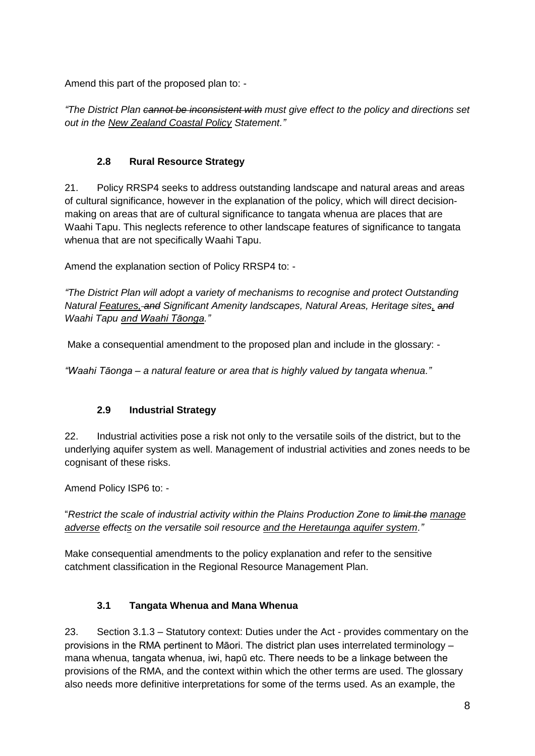Amend this part of the proposed plan to: -

*"The District Plan cannot be inconsistent with must give effect to the policy and directions set out in the New Zealand Coastal Policy Statement."*

## **2.8 Rural Resource Strategy**

21. Policy RRSP4 seeks to address outstanding landscape and natural areas and areas of cultural significance, however in the explanation of the policy, which will direct decisionmaking on areas that are of cultural significance to tangata whenua are places that are Waahi Tapu. This neglects reference to other landscape features of significance to tangata whenua that are not specifically Waahi Tapu.

Amend the explanation section of Policy RRSP4 to: -

*"The District Plan will adopt a variety of mechanisms to recognise and protect Outstanding Natural Features, and Significant Amenity landscapes, Natural Areas, Heritage sites, and Waahi Tapu and Waahi Tāonga."*

Make a consequential amendment to the proposed plan and include in the glossary: -

*"Waahi Tāonga – a natural feature or area that is highly valued by tangata whenua."*

# **2.9 Industrial Strategy**

22. Industrial activities pose a risk not only to the versatile soils of the district, but to the underlying aquifer system as well. Management of industrial activities and zones needs to be cognisant of these risks.

Amend Policy ISP6 to: -

"*Restrict the scale of industrial activity within the Plains Production Zone to limit the manage adverse effects on the versatile soil resource and the Heretaunga aquifer system."*

Make consequential amendments to the policy explanation and refer to the sensitive catchment classification in the Regional Resource Management Plan.

# **3.1 Tangata Whenua and Mana Whenua**

23. Section 3.1.3 – Statutory context: Duties under the Act - provides commentary on the provisions in the RMA pertinent to Māori. The district plan uses interrelated terminology – mana whenua, tangata whenua, iwi, hapū etc. There needs to be a linkage between the provisions of the RMA, and the context within which the other terms are used. The glossary also needs more definitive interpretations for some of the terms used. As an example, the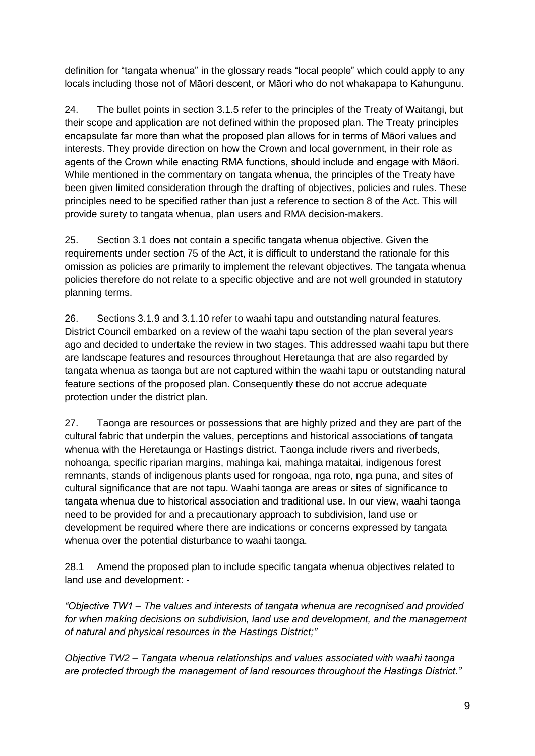definition for "tangata whenua" in the glossary reads "local people" which could apply to any locals including those not of Māori descent, or Māori who do not whakapapa to Kahungunu.

24. The bullet points in section 3.1.5 refer to the principles of the Treaty of Waitangi, but their scope and application are not defined within the proposed plan. The Treaty principles encapsulate far more than what the proposed plan allows for in terms of Māori values and interests. They provide direction on how the Crown and local government, in their role as agents of the Crown while enacting RMA functions, should include and engage with Māori. While mentioned in the commentary on tangata whenua, the principles of the Treaty have been given limited consideration through the drafting of objectives, policies and rules. These principles need to be specified rather than just a reference to section 8 of the Act. This will provide surety to tangata whenua, plan users and RMA decision-makers.

25. Section 3.1 does not contain a specific tangata whenua objective. Given the requirements under section 75 of the Act, it is difficult to understand the rationale for this omission as policies are primarily to implement the relevant objectives. The tangata whenua policies therefore do not relate to a specific objective and are not well grounded in statutory planning terms.

26. Sections 3.1.9 and 3.1.10 refer to waahi tapu and outstanding natural features. District Council embarked on a review of the waahi tapu section of the plan several years ago and decided to undertake the review in two stages. This addressed waahi tapu but there are landscape features and resources throughout Heretaunga that are also regarded by tangata whenua as taonga but are not captured within the waahi tapu or outstanding natural feature sections of the proposed plan. Consequently these do not accrue adequate protection under the district plan.

27. Taonga are resources or possessions that are highly prized and they are part of the cultural fabric that underpin the values, perceptions and historical associations of tangata whenua with the Heretaunga or Hastings district. Taonga include rivers and riverbeds, nohoanga, specific riparian margins, mahinga kai, mahinga mataitai, indigenous forest remnants, stands of indigenous plants used for rongoaa, nga roto, nga puna, and sites of cultural significance that are not tapu. Waahi taonga are areas or sites of significance to tangata whenua due to historical association and traditional use. In our view, waahi taonga need to be provided for and a precautionary approach to subdivision, land use or development be required where there are indications or concerns expressed by tangata whenua over the potential disturbance to waahi taonga.

28.1 Amend the proposed plan to include specific tangata whenua objectives related to land use and development: -

*"Objective TW1 – The values and interests of tangata whenua are recognised and provided for when making decisions on subdivision, land use and development, and the management of natural and physical resources in the Hastings District;"*

*Objective TW2 – Tangata whenua relationships and values associated with waahi taonga are protected through the management of land resources throughout the Hastings District."*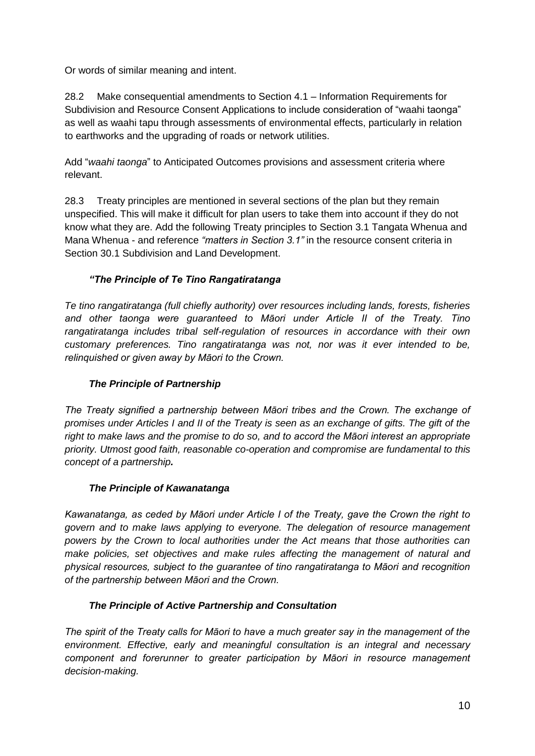Or words of similar meaning and intent.

28.2 Make consequential amendments to Section 4.1 – Information Requirements for Subdivision and Resource Consent Applications to include consideration of "waahi taonga" as well as waahi tapu through assessments of environmental effects, particularly in relation to earthworks and the upgrading of roads or network utilities.

Add "*waahi taonga*" to Anticipated Outcomes provisions and assessment criteria where relevant.

28.3 Treaty principles are mentioned in several sections of the plan but they remain unspecified. This will make it difficult for plan users to take them into account if they do not know what they are. Add the following Treaty principles to Section 3.1 Tangata Whenua and Mana Whenua - and reference *"matters in Section 3.1"* in the resource consent criteria in Section 30.1 Subdivision and Land Development.

# *"The Principle of Te Tino Rangatiratanga*

*Te tino rangatiratanga (full chiefly authority) over resources including lands, forests, fisheries and other taonga were guaranteed to Māori under Article II of the Treaty. Tino rangatiratanga includes tribal self-regulation of resources in accordance with their own customary preferences. Tino rangatiratanga was not, nor was it ever intended to be, relinquished or given away by Māori to the Crown.*

## *The Principle of Partnership*

*The Treaty signified a partnership between Māori tribes and the Crown. The exchange of promises under Articles I and II of the Treaty is seen as an exchange of gifts. The gift of the right to make laws and the promise to do so, and to accord the Māori interest an appropriate priority. Utmost good faith, reasonable co-operation and compromise are fundamental to this concept of a partnership.*

### *The Principle of Kawanatanga*

*Kawanatanga, as ceded by Māori under Article I of the Treaty, gave the Crown the right to govern and to make laws applying to everyone. The delegation of resource management powers by the Crown to local authorities under the Act means that those authorities can make policies, set objectives and make rules affecting the management of natural and physical resources, subject to the guarantee of tino rangatiratanga to Māori and recognition of the partnership between Māori and the Crown.*

### *The Principle of Active Partnership and Consultation*

*The spirit of the Treaty calls for Māori to have a much greater say in the management of the environment. Effective, early and meaningful consultation is an integral and necessary component and forerunner to greater participation by Māori in resource management decision-making.*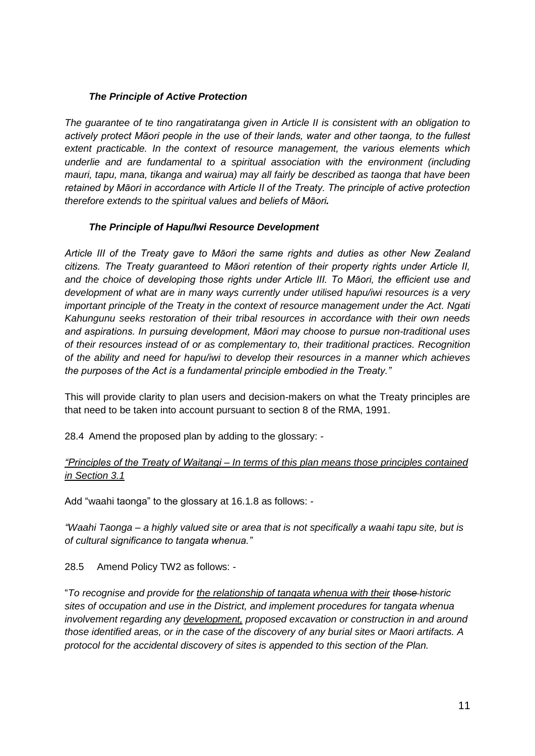#### *The Principle of Active Protection*

*The guarantee of te tino rangatiratanga given in Article II is consistent with an obligation to actively protect Māori people in the use of their lands, water and other taonga, to the fullest extent practicable. In the context of resource management, the various elements which underlie and are fundamental to a spiritual association with the environment (including mauri, tapu, mana, tikanga and wairua) may all fairly be described as taonga that have been retained by Māori in accordance with Article II of the Treaty. The principle of active protection therefore extends to the spiritual values and beliefs of Māori.*

#### *The Principle of Hapu/Iwi Resource Development*

*Article III of the Treaty gave to Māori the same rights and duties as other New Zealand citizens. The Treaty guaranteed to Māori retention of their property rights under Article II, and the choice of developing those rights under Article III. To Māori, the efficient use and development of what are in many ways currently under utilised hapu/iwi resources is a very important principle of the Treaty in the context of resource management under the Act. Ngati Kahungunu seeks restoration of their tribal resources in accordance with their own needs and aspirations. In pursuing development, Māori may choose to pursue non-traditional uses of their resources instead of or as complementary to, their traditional practices. Recognition of the ability and need for hapu/iwi to develop their resources in a manner which achieves the purposes of the Act is a fundamental principle embodied in the Treaty."*

This will provide clarity to plan users and decision-makers on what the Treaty principles are that need to be taken into account pursuant to section 8 of the RMA, 1991.

28.4 Amend the proposed plan by adding to the glossary: -

#### *"Principles of the Treaty of Waitangi – In terms of this plan means those principles contained in Section 3.1*

Add "waahi taonga" to the glossary at 16.1.8 as follows: -

*"Waahi Taonga – a highly valued site or area that is not specifically a waahi tapu site, but is of cultural significance to tangata whenua."*

28.5 Amend Policy TW2 as follows: -

"*To recognise and provide for the relationship of tangata whenua with their those historic sites of occupation and use in the District, and implement procedures for tangata whenua involvement regarding any development, proposed excavation or construction in and around those identified areas, or in the case of the discovery of any burial sites or Maori artifacts. A protocol for the accidental discovery of sites is appended to this section of the Plan.*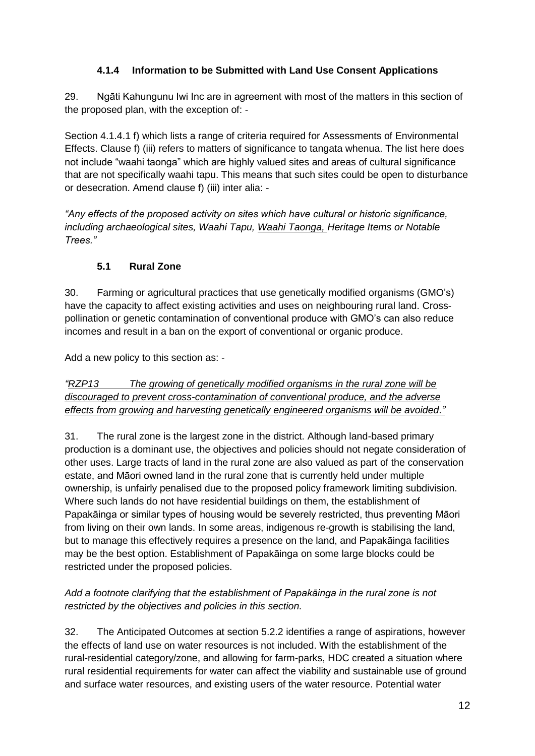# **4.1.4 Information to be Submitted with Land Use Consent Applications**

29. Ngāti Kahungunu Iwi Inc are in agreement with most of the matters in this section of the proposed plan, with the exception of: -

Section 4.1.4.1 f) which lists a range of criteria required for Assessments of Environmental Effects. Clause f) (iii) refers to matters of significance to tangata whenua. The list here does not include "waahi taonga" which are highly valued sites and areas of cultural significance that are not specifically waahi tapu. This means that such sites could be open to disturbance or desecration. Amend clause f) (iii) inter alia: -

*"Any effects of the proposed activity on sites which have cultural or historic significance, including archaeological sites, Waahi Tapu, Waahi Taonga, Heritage Items or Notable Trees."*

# **5.1 Rural Zone**

30. Farming or agricultural practices that use genetically modified organisms (GMO's) have the capacity to affect existing activities and uses on neighbouring rural land. Crosspollination or genetic contamination of conventional produce with GMO's can also reduce incomes and result in a ban on the export of conventional or organic produce.

Add a new policy to this section as: -

*"RZP13 The growing of genetically modified organisms in the rural zone will be discouraged to prevent cross-contamination of conventional produce, and the adverse effects from growing and harvesting genetically engineered organisms will be avoided."*

31. The rural zone is the largest zone in the district. Although land-based primary production is a dominant use, the objectives and policies should not negate consideration of other uses. Large tracts of land in the rural zone are also valued as part of the conservation estate, and Māori owned land in the rural zone that is currently held under multiple ownership, is unfairly penalised due to the proposed policy framework limiting subdivision. Where such lands do not have residential buildings on them, the establishment of Papakāinga or similar types of housing would be severely restricted, thus preventing Māori from living on their own lands. In some areas, indigenous re-growth is stabilising the land, but to manage this effectively requires a presence on the land, and Papakāinga facilities may be the best option. Establishment of Papakāinga on some large blocks could be restricted under the proposed policies.

## *Add a footnote clarifying that the establishment of Papakāinga in the rural zone is not restricted by the objectives and policies in this section.*

32. The Anticipated Outcomes at section 5.2.2 identifies a range of aspirations, however the effects of land use on water resources is not included. With the establishment of the rural-residential category/zone, and allowing for farm-parks, HDC created a situation where rural residential requirements for water can affect the viability and sustainable use of ground and surface water resources, and existing users of the water resource. Potential water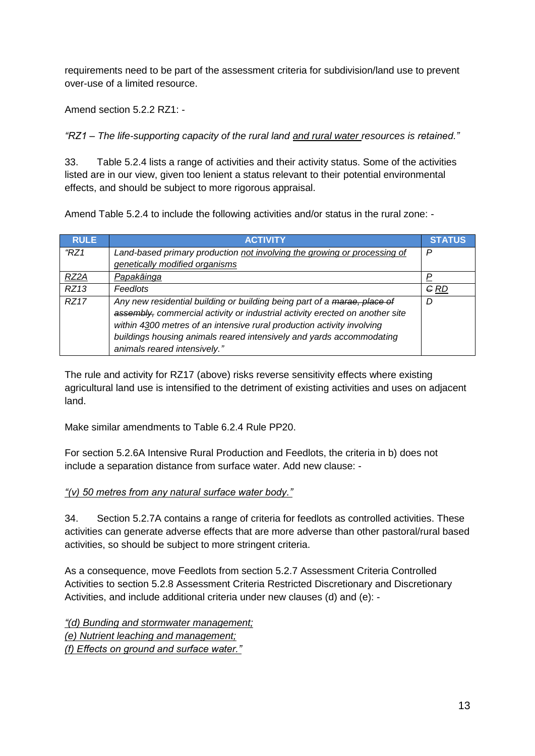requirements need to be part of the assessment criteria for subdivision/land use to prevent over-use of a limited resource.

Amend section 5.2.2 RZ1: -

*"RZ1 – The life-supporting capacity of the rural land and rural water resources is retained."*

33. Table 5.2.4 lists a range of activities and their activity status. Some of the activities listed are in our view, given too lenient a status relevant to their potential environmental effects, and should be subject to more rigorous appraisal.

Amend Table 5.2.4 to include the following activities and/or status in the rural zone: -

| <b>RULE</b>       | <b>ACTIVITY</b>                                                                                                                                                                                                                                                                                            | <b>STATUS</b> |
|-------------------|------------------------------------------------------------------------------------------------------------------------------------------------------------------------------------------------------------------------------------------------------------------------------------------------------------|---------------|
| HZ1               | Land-based primary production not involving the growing or processing of                                                                                                                                                                                                                                   | Р             |
|                   | genetically modified organisms                                                                                                                                                                                                                                                                             |               |
| RZ <sub>2</sub> A | Papakāinga                                                                                                                                                                                                                                                                                                 |               |
| RZ13              | Feedlots                                                                                                                                                                                                                                                                                                   | <b>GRD</b>    |
| RZ17              | Any new residential building or building being part of a marae, place of<br>assembly, commercial activity or industrial activity erected on another site<br>within 4300 metres of an intensive rural production activity involving<br>buildings housing animals reared intensively and yards accommodating | D             |
|                   | animals reared intensively."                                                                                                                                                                                                                                                                               |               |

The rule and activity for RZ17 (above) risks reverse sensitivity effects where existing agricultural land use is intensified to the detriment of existing activities and uses on adjacent land.

Make similar amendments to Table 6.2.4 Rule PP20.

For section 5.2.6A Intensive Rural Production and Feedlots, the criteria in b) does not include a separation distance from surface water. Add new clause: -

### *"(v) 50 metres from any natural surface water body."*

34. Section 5.2.7A contains a range of criteria for feedlots as controlled activities. These activities can generate adverse effects that are more adverse than other pastoral/rural based activities, so should be subject to more stringent criteria.

As a consequence, move Feedlots from section 5.2.7 Assessment Criteria Controlled Activities to section 5.2.8 Assessment Criteria Restricted Discretionary and Discretionary Activities, and include additional criteria under new clauses (d) and (e): -

*"(d) Bunding and stormwater management; (e) Nutrient leaching and management; (f) Effects on ground and surface water."*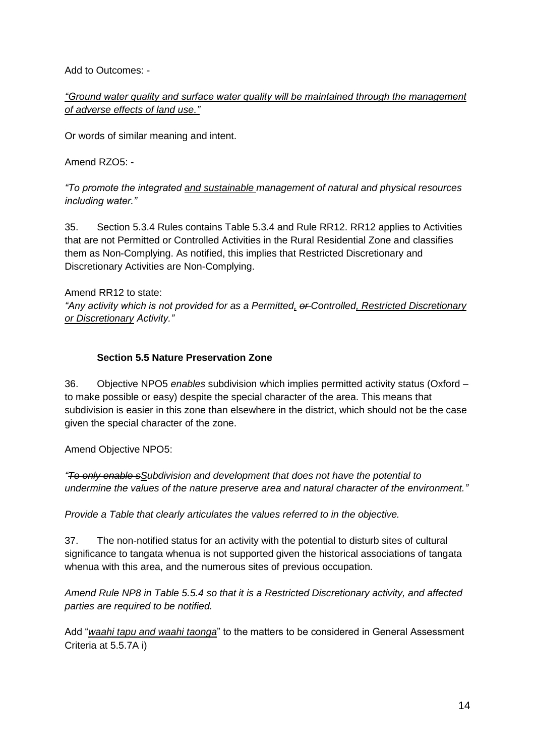Add to Outcomes: -

*"Ground water quality and surface water quality will be maintained through the management of adverse effects of land use."*

Or words of similar meaning and intent.

Amend RZO5: -

*"To promote the integrated and sustainable management of natural and physical resources including water."*

35. Section 5.3.4 Rules contains Table 5.3.4 and Rule RR12. RR12 applies to Activities that are not Permitted or Controlled Activities in the Rural Residential Zone and classifies them as Non-Complying. As notified, this implies that Restricted Discretionary and Discretionary Activities are Non-Complying.

Amend RR12 to state:

*"Any activity which is not provided for as a Permitted, or Controlled, Restricted Discretionary or Discretionary Activity."*

## **Section 5.5 Nature Preservation Zone**

36. Objective NPO5 *enables* subdivision which implies permitted activity status (Oxford – to make possible or easy) despite the special character of the area. This means that subdivision is easier in this zone than elsewhere in the district, which should not be the case given the special character of the zone.

Amend Objective NPO5:

*"To only enable sSubdivision and development that does not have the potential to undermine the values of the nature preserve area and natural character of the environment."*

*Provide a Table that clearly articulates the values referred to in the objective.*

37. The non-notified status for an activity with the potential to disturb sites of cultural significance to tangata whenua is not supported given the historical associations of tangata whenua with this area, and the numerous sites of previous occupation.

*Amend Rule NP8 in Table 5.5.4 so that it is a Restricted Discretionary activity, and affected parties are required to be notified.*

Add "*waahi tapu and waahi taonga*" to the matters to be considered in General Assessment Criteria at 5.5.7A i)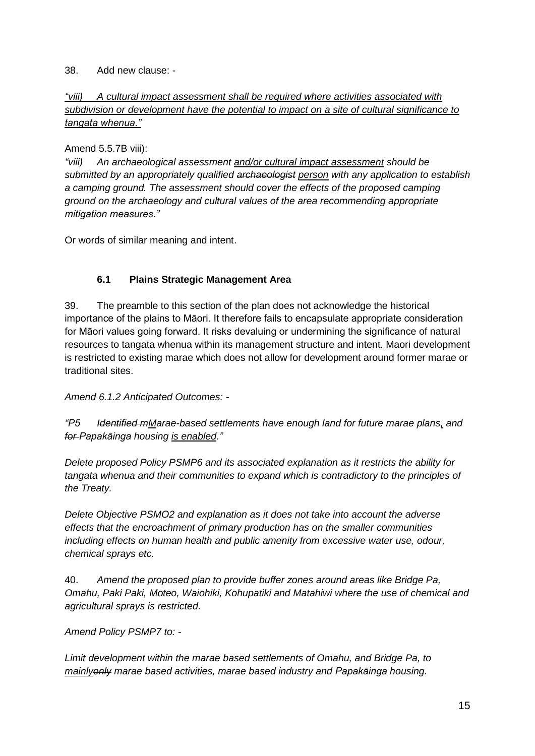#### 38. Add new clause: -

## *"viii) A cultural impact assessment shall be required where activities associated with subdivision or development have the potential to impact on a site of cultural significance to tangata whenua."*

### Amend 5.5.7B viii):

*"viii) An archaeological assessment and/or cultural impact assessment should be submitted by an appropriately qualified archaeologist person with any application to establish a camping ground. The assessment should cover the effects of the proposed camping ground on the archaeology and cultural values of the area recommending appropriate mitigation measures."*

Or words of similar meaning and intent.

## **6.1 Plains Strategic Management Area**

39. The preamble to this section of the plan does not acknowledge the historical importance of the plains to Māori. It therefore fails to encapsulate appropriate consideration for Māori values going forward. It risks devaluing or undermining the significance of natural resources to tangata whenua within its management structure and intent. Maori development is restricted to existing marae which does not allow for development around former marae or traditional sites.

*Amend 6.1.2 Anticipated Outcomes: -*

*"P5 Identified mMarae-based settlements have enough land for future marae plans, and for Papakāinga housing is enabled."*

*Delete proposed Policy PSMP6 and its associated explanation as it restricts the ability for tangata whenua and their communities to expand which is contradictory to the principles of the Treaty.*

*Delete Objective PSMO2 and explanation as it does not take into account the adverse effects that the encroachment of primary production has on the smaller communities including effects on human health and public amenity from excessive water use, odour, chemical sprays etc.* 

40. *Amend the proposed plan to provide buffer zones around areas like Bridge Pa, Omahu, Paki Paki, Moteo, Waiohiki, Kohupatiki and Matahiwi where the use of chemical and agricultural sprays is restricted.*

*Amend Policy PSMP7 to: -*

*Limit development within the marae based settlements of Omahu, and Bridge Pa, to mainlyonly marae based activities, marae based industry and Papakāinga housing.*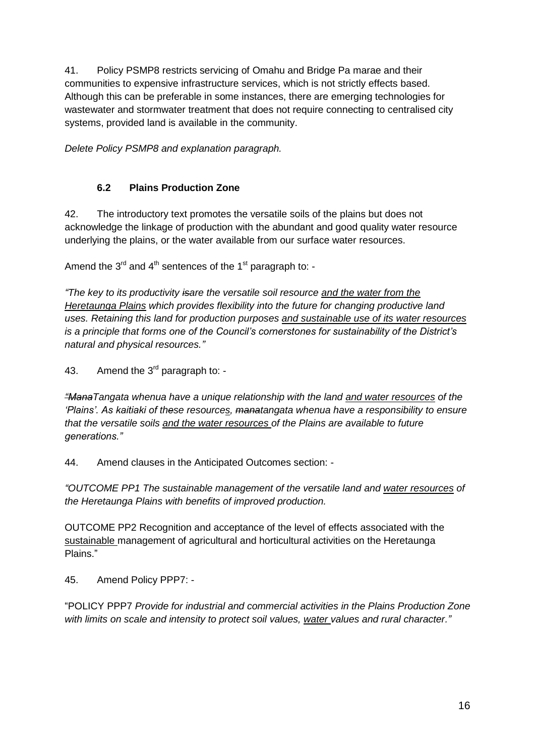41. Policy PSMP8 restricts servicing of Omahu and Bridge Pa marae and their communities to expensive infrastructure services, which is not strictly effects based. Although this can be preferable in some instances, there are emerging technologies for wastewater and stormwater treatment that does not require connecting to centralised city systems, provided land is available in the community.

*Delete Policy PSMP8 and explanation paragraph.*

## **6.2 Plains Production Zone**

42. The introductory text promotes the versatile soils of the plains but does not acknowledge the linkage of production with the abundant and good quality water resource underlying the plains, or the water available from our surface water resources.

Amend the  $3<sup>rd</sup>$  and  $4<sup>th</sup>$  sentences of the 1<sup>st</sup> paragraph to: -

*"The key to its productivity isare the versatile soil resource and the water from the Heretaunga Plains which provides flexibility into the future for changing productive land uses. Retaining this land for production purposes and sustainable use of its water resources is a principle that forms one of the Council's cornerstones for sustainability of the District's natural and physical resources."*

43. Amend the  $3<sup>rd</sup>$  paragraph to: -

*"ManaTangata whenua have a unique relationship with the land and water resources of the 'Plains'. As kaitiaki of these resources, manatangata whenua have a responsibility to ensure that the versatile soils and the water resources of the Plains are available to future generations."*

44. Amend clauses in the Anticipated Outcomes section: -

*"OUTCOME PP1 The sustainable management of the versatile land and water resources of the Heretaunga Plains with benefits of improved production.*

OUTCOME PP2 Recognition and acceptance of the level of effects associated with the sustainable management of agricultural and horticultural activities on the Heretaunga Plains."

45. Amend Policy PPP7: -

"POLICY PPP7 *Provide for industrial and commercial activities in the Plains Production Zone with limits on scale and intensity to protect soil values, water values and rural character."*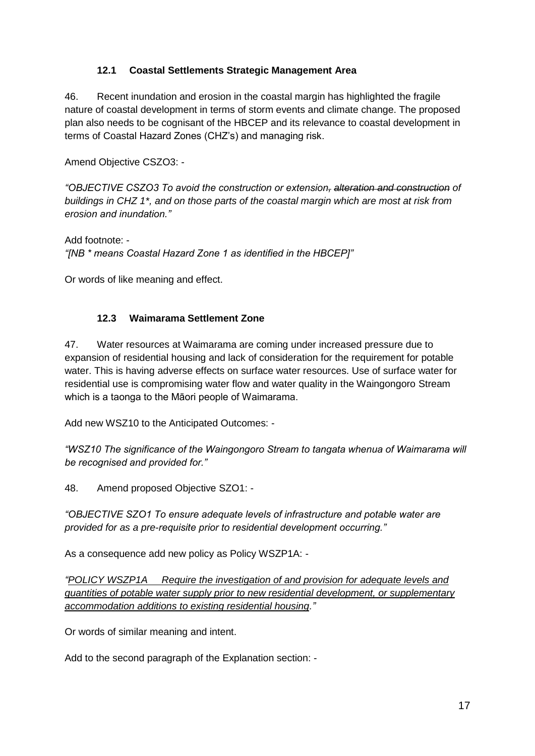### **12.1 Coastal Settlements Strategic Management Area**

46. Recent inundation and erosion in the coastal margin has highlighted the fragile nature of coastal development in terms of storm events and climate change. The proposed plan also needs to be cognisant of the HBCEP and its relevance to coastal development in terms of Coastal Hazard Zones (CHZ's) and managing risk.

Amend Objective CSZO3: -

*"OBJECTIVE CSZO3 To avoid the construction or extension, alteration and construction of buildings in CHZ 1\*, and on those parts of the coastal margin which are most at risk from erosion and inundation."*

Add footnote: - *"[NB \* means Coastal Hazard Zone 1 as identified in the HBCEP]"*

Or words of like meaning and effect.

## **12.3 Waimarama Settlement Zone**

47. Water resources at Waimarama are coming under increased pressure due to expansion of residential housing and lack of consideration for the requirement for potable water. This is having adverse effects on surface water resources. Use of surface water for residential use is compromising water flow and water quality in the Waingongoro Stream which is a taonga to the Māori people of Waimarama.

Add new WSZ10 to the Anticipated Outcomes: -

*"WSZ10 The significance of the Waingongoro Stream to tangata whenua of Waimarama will be recognised and provided for."*

48. Amend proposed Objective SZO1: -

*"OBJECTIVE SZO1 To ensure adequate levels of infrastructure and potable water are provided for as a pre-requisite prior to residential development occurring."*

As a consequence add new policy as Policy WSZP1A: -

*"POLICY WSZP1A Require the investigation of and provision for adequate levels and quantities of potable water supply prior to new residential development, or supplementary accommodation additions to existing residential housing."*

Or words of similar meaning and intent.

Add to the second paragraph of the Explanation section: -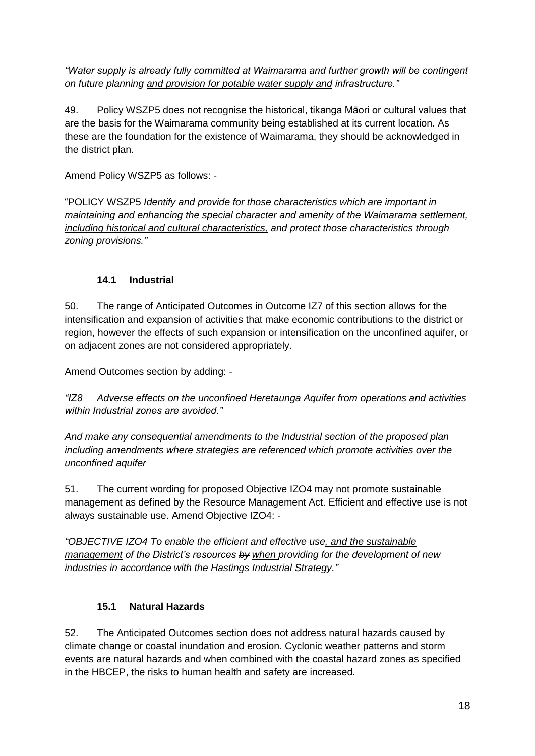*"Water supply is already fully committed at Waimarama and further growth will be contingent on future planning and provision for potable water supply and infrastructure."*

49. Policy WSZP5 does not recognise the historical, tikanga Māori or cultural values that are the basis for the Waimarama community being established at its current location. As these are the foundation for the existence of Waimarama, they should be acknowledged in the district plan.

Amend Policy WSZP5 as follows: -

"POLICY WSZP5 *Identify and provide for those characteristics which are important in maintaining and enhancing the special character and amenity of the Waimarama settlement, including historical and cultural characteristics, and protect those characteristics through zoning provisions."*

## **14.1 Industrial**

50. The range of Anticipated Outcomes in Outcome IZ7 of this section allows for the intensification and expansion of activities that make economic contributions to the district or region, however the effects of such expansion or intensification on the unconfined aquifer, or on adjacent zones are not considered appropriately.

Amend Outcomes section by adding: -

*"IZ8 Adverse effects on the unconfined Heretaunga Aquifer from operations and activities within Industrial zones are avoided."*

*And make any consequential amendments to the Industrial section of the proposed plan including amendments where strategies are referenced which promote activities over the unconfined aquifer*

51. The current wording for proposed Objective IZO4 may not promote sustainable management as defined by the Resource Management Act. Efficient and effective use is not always sustainable use. Amend Objective IZO4: -

*"OBJECTIVE IZO4 To enable the efficient and effective use, and the sustainable management of the District's resources by when providing for the development of new industries in accordance with the Hastings Industrial Strategy."*

### **15.1 Natural Hazards**

52. The Anticipated Outcomes section does not address natural hazards caused by climate change or coastal inundation and erosion. Cyclonic weather patterns and storm events are natural hazards and when combined with the coastal hazard zones as specified in the HBCEP, the risks to human health and safety are increased.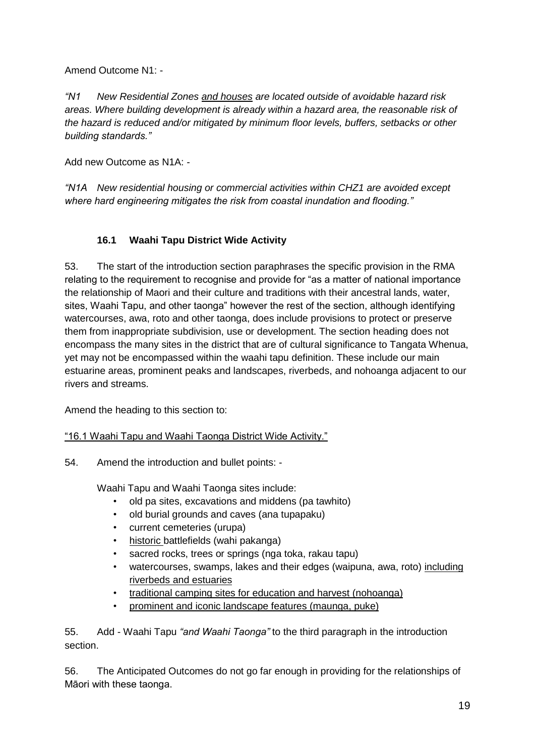Amend Outcome N1: -

*"N1 New Residential Zones and houses are located outside of avoidable hazard risk areas. Where building development is already within a hazard area, the reasonable risk of the hazard is reduced and/or mitigated by minimum floor levels, buffers, setbacks or other building standards."*

Add new Outcome as N1A: -

*"N1A New residential housing or commercial activities within CHZ1 are avoided except where hard engineering mitigates the risk from coastal inundation and flooding."*

# **16.1 Waahi Tapu District Wide Activity**

53. The start of the introduction section paraphrases the specific provision in the RMA relating to the requirement to recognise and provide for "as a matter of national importance the relationship of Maori and their culture and traditions with their ancestral lands, water, sites, Waahi Tapu, and other taonga" however the rest of the section, although identifying watercourses, awa, roto and other taonga, does include provisions to protect or preserve them from inappropriate subdivision, use or development. The section heading does not encompass the many sites in the district that are of cultural significance to Tangata Whenua, yet may not be encompassed within the waahi tapu definition. These include our main estuarine areas, prominent peaks and landscapes, riverbeds, and nohoanga adjacent to our rivers and streams.

Amend the heading to this section to:

### "16.1 Waahi Tapu and Waahi Taonga District Wide Activity."

54. Amend the introduction and bullet points: -

Waahi Tapu and Waahi Taonga sites include:

- old pa sites, excavations and middens (pa tawhito)
- old burial grounds and caves (ana tupapaku)
- current cemeteries (urupa)
- historic battlefields (wahi pakanga)
- sacred rocks, trees or springs (nga toka, rakau tapu)
- watercourses, swamps, lakes and their edges (waipuna, awa, roto) including riverbeds and estuaries
- traditional camping sites for education and harvest (nohoanga)
- prominent and iconic landscape features (maunga, puke)

55. Add - Waahi Tapu *"and Waahi Taonga"* to the third paragraph in the introduction section.

56. The Anticipated Outcomes do not go far enough in providing for the relationships of Māori with these taonga.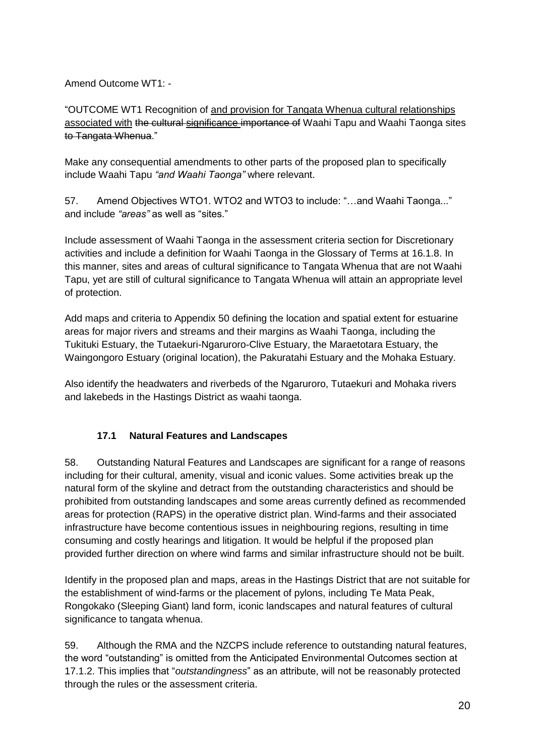Amend Outcome WT1: -

"OUTCOME WT1 Recognition of and provision for Tangata Whenua cultural relationships associated with the cultural significance importance of Waahi Tapu and Waahi Taonga sites to Tangata Whenua."

Make any consequential amendments to other parts of the proposed plan to specifically include Waahi Tapu *"and Waahi Taonga"* where relevant.

57. Amend Objectives WTO1. WTO2 and WTO3 to include: "…and Waahi Taonga..." and include *"areas"* as well as "sites."

Include assessment of Waahi Taonga in the assessment criteria section for Discretionary activities and include a definition for Waahi Taonga in the Glossary of Terms at 16.1.8. In this manner, sites and areas of cultural significance to Tangata Whenua that are not Waahi Tapu, yet are still of cultural significance to Tangata Whenua will attain an appropriate level of protection.

Add maps and criteria to Appendix 50 defining the location and spatial extent for estuarine areas for major rivers and streams and their margins as Waahi Taonga, including the Tukituki Estuary, the Tutaekuri-Ngaruroro-Clive Estuary, the Maraetotara Estuary, the Waingongoro Estuary (original location), the Pakuratahi Estuary and the Mohaka Estuary.

Also identify the headwaters and riverbeds of the Ngaruroro, Tutaekuri and Mohaka rivers and lakebeds in the Hastings District as waahi taonga.

# **17.1 Natural Features and Landscapes**

58. Outstanding Natural Features and Landscapes are significant for a range of reasons including for their cultural, amenity, visual and iconic values. Some activities break up the natural form of the skyline and detract from the outstanding characteristics and should be prohibited from outstanding landscapes and some areas currently defined as recommended areas for protection (RAPS) in the operative district plan. Wind-farms and their associated infrastructure have become contentious issues in neighbouring regions, resulting in time consuming and costly hearings and litigation. It would be helpful if the proposed plan provided further direction on where wind farms and similar infrastructure should not be built.

Identify in the proposed plan and maps, areas in the Hastings District that are not suitable for the establishment of wind-farms or the placement of pylons, including Te Mata Peak, Rongokako (Sleeping Giant) land form, iconic landscapes and natural features of cultural significance to tangata whenua.

59. Although the RMA and the NZCPS include reference to outstanding natural features, the word "outstanding" is omitted from the Anticipated Environmental Outcomes section at 17.1.2. This implies that "*outstandingness*" as an attribute, will not be reasonably protected through the rules or the assessment criteria.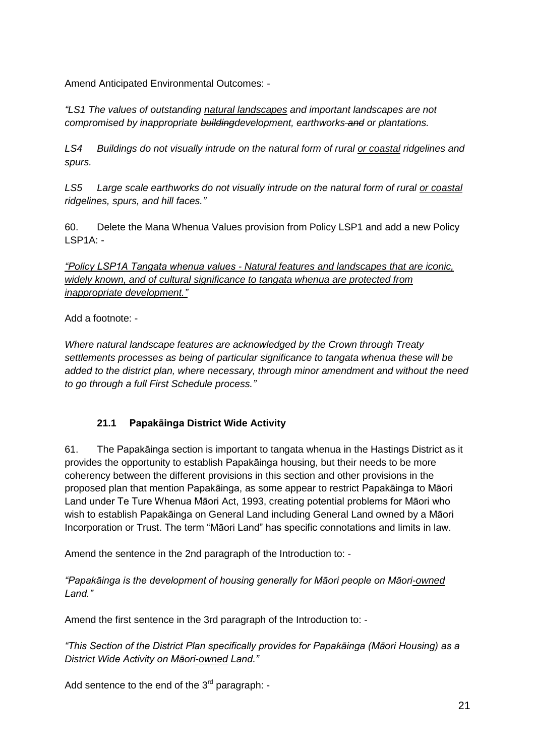Amend Anticipated Environmental Outcomes: -

*"LS1 The values of outstanding natural landscapes and important landscapes are not compromised by inappropriate buildingdevelopment, earthworks and or plantations.* 

*LS4 Buildings do not visually intrude on the natural form of rural or coastal ridgelines and spurs.*

*LS5 Large scale earthworks do not visually intrude on the natural form of rural or coastal ridgelines, spurs, and hill faces."*

60. Delete the Mana Whenua Values provision from Policy LSP1 and add a new Policy LSP1A: -

*"Policy LSP1A Tangata whenua values - Natural features and landscapes that are iconic, widely known, and of cultural significance to tangata whenua are protected from inappropriate development."*

Add a footnote: -

*Where natural landscape features are acknowledged by the Crown through Treaty settlements processes as being of particular significance to tangata whenua these will be added to the district plan, where necessary, through minor amendment and without the need to go through a full First Schedule process."*

# **21.1 Papakāinga District Wide Activity**

61. The Papakāinga section is important to tangata whenua in the Hastings District as it provides the opportunity to establish Papakāinga housing, but their needs to be more coherency between the different provisions in this section and other provisions in the proposed plan that mention Papakāinga, as some appear to restrict Papakāinga to Māori Land under Te Ture Whenua Māori Act, 1993, creating potential problems for Māori who wish to establish Papakāinga on General Land including General Land owned by a Māori Incorporation or Trust. The term "Māori Land" has specific connotations and limits in law.

Amend the sentence in the 2nd paragraph of the Introduction to: -

*"Papakāinga is the development of housing generally for Māori people on Māori-owned Land."*

Amend the first sentence in the 3rd paragraph of the Introduction to: -

*"This Section of the District Plan specifically provides for Papakāinga (Māori Housing) as a District Wide Activity on Māori-owned Land."*

Add sentence to the end of the  $3<sup>rd</sup>$  paragraph: -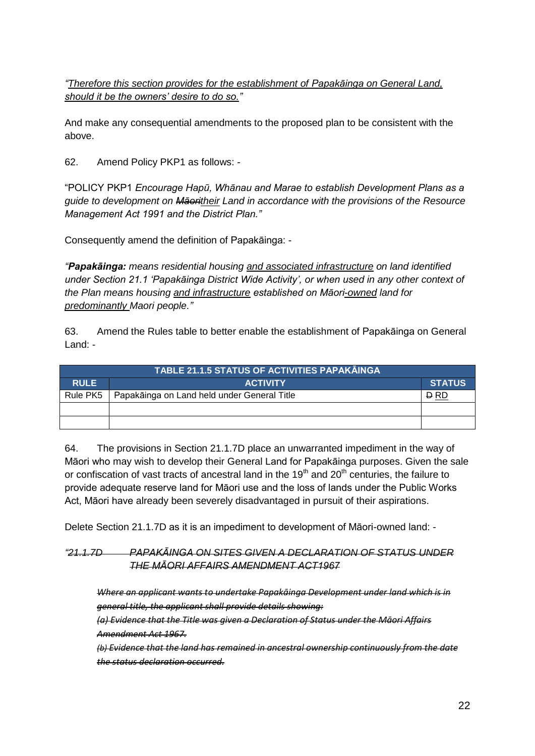*"Therefore this section provides for the establishment of Papakāinga on General Land, should it be the owners' desire to do so."*

And make any consequential amendments to the proposed plan to be consistent with the above.

62. Amend Policy PKP1 as follows: -

"POLICY PKP1 *Encourage Hapū, Whānau and Marae to establish Development Plans as a guide to development on Māoritheir Land in accordance with the provisions of the Resource Management Act 1991 and the District Plan."*

Consequently amend the definition of Papakāinga: -

*"Papakāinga: means residential housing and associated infrastructure on land identified under Section 21.1 'Papakāinga District Wide Activity', or when used in any other context of the Plan means housing and infrastructure established on Māori-owned land for predominantly Maori people."*

63. Amend the Rules table to better enable the establishment of Papakāinga on General Land: -

|             | <b>TABLE 21.1.5 STATUS OF ACTIVITIES PAPAKAINGA</b> |               |
|-------------|-----------------------------------------------------|---------------|
| <b>RULE</b> | <b>ACTIVITY</b>                                     | <b>STATUS</b> |
| Rule PK5    | Papakāinga on Land held under General Title         | <b>D</b> RD   |
|             |                                                     |               |
|             |                                                     |               |

64. The provisions in Section 21.1.7D place an unwarranted impediment in the way of Māori who may wish to develop their General Land for Papakāinga purposes. Given the sale or confiscation of vast tracts of ancestral land in the 19<sup>th</sup> and 20<sup>th</sup> centuries, the failure to provide adequate reserve land for Māori use and the loss of lands under the Public Works Act, Māori have already been severely disadvantaged in pursuit of their aspirations.

Delete Section 21.1.7D as it is an impediment to development of Māori-owned land: -

### *"21.1.7D PAPAKĀINGA ON SITES GIVEN A DECLARATION OF STATUS UNDER THE MĀORI AFFAIRS AMENDMENT ACT1967*

*Where an applicant wants to undertake Papakāinga Development under land which is in general title, the applicant shall provide details showing: (a) Evidence that the Title was given a Declaration of Status under the Māori Affairs Amendment Act 1967. (b) Evidence that the land has remained in ancestral ownership continuously from the date*

*the status declaration occurred.*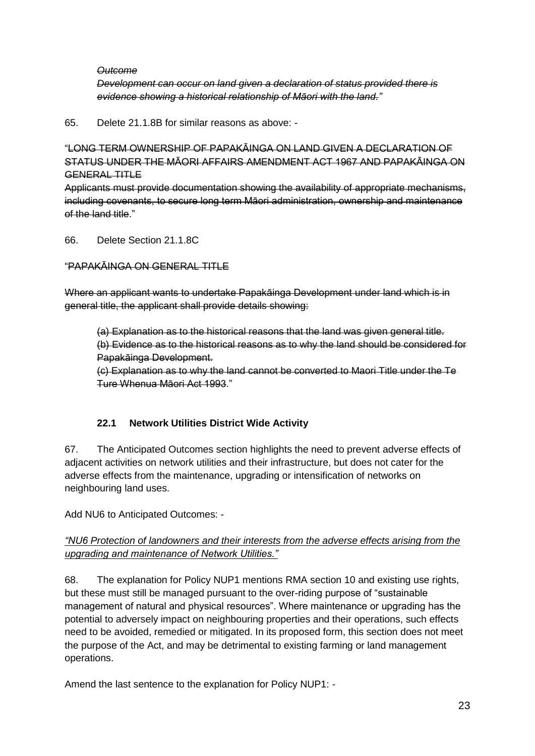#### *Outcome*

*Development can occur on land given a declaration of status provided there is evidence showing a historical relationship of Māori with the land."*

65. Delete 21.1.8B for similar reasons as above: -

"LONG TERM OWNERSHIP OF PAPAKĀINGA ON LAND GIVEN A DECLARATION OF STATUS UNDER THE MĀORI AFFAIRS AMENDMENT ACT 1967 AND PAPAKĀINGA ON GENERAL TITLE

Applicants must provide documentation showing the availability of appropriate mechanisms, including covenants, to secure long term Māori administration, ownership and maintenance of the land title."

66. Delete Section 21.1.8C

### "PAPAKĀINGA ON GENERAL TITLE

Where an applicant wants to undertake Papakāinga Development under land which is in general title, the applicant shall provide details showing:

(a) Explanation as to the historical reasons that the land was given general title. (b) Evidence as to the historical reasons as to why the land should be considered for Papakāinga Development.

(c) Explanation as to why the land cannot be converted to Maori Title under the Te Ture Whenua Māori Act 1993."

### **22.1 Network Utilities District Wide Activity**

67. The Anticipated Outcomes section highlights the need to prevent adverse effects of adjacent activities on network utilities and their infrastructure, but does not cater for the adverse effects from the maintenance, upgrading or intensification of networks on neighbouring land uses.

Add NU6 to Anticipated Outcomes: -

## *"NU6 Protection of landowners and their interests from the adverse effects arising from the upgrading and maintenance of Network Utilities."*

68. The explanation for Policy NUP1 mentions RMA section 10 and existing use rights, but these must still be managed pursuant to the over-riding purpose of "sustainable management of natural and physical resources". Where maintenance or upgrading has the potential to adversely impact on neighbouring properties and their operations, such effects need to be avoided, remedied or mitigated. In its proposed form, this section does not meet the purpose of the Act, and may be detrimental to existing farming or land management operations.

Amend the last sentence to the explanation for Policy NUP1: -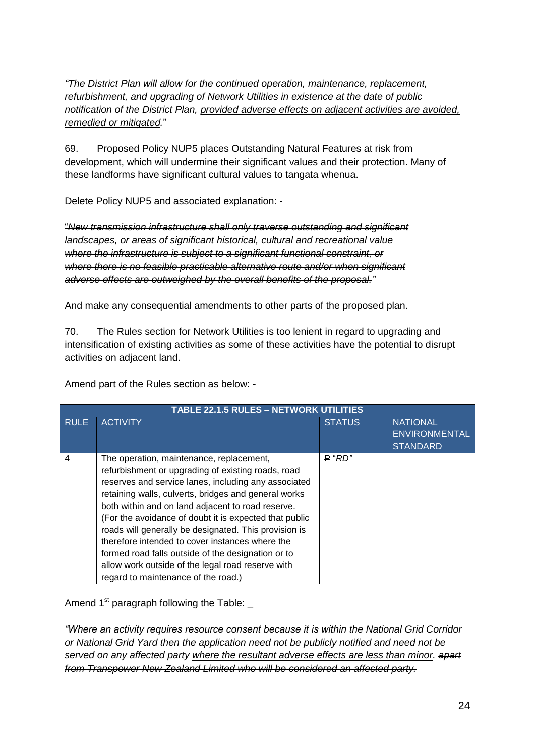*"The District Plan will allow for the continued operation, maintenance, replacement, refurbishment, and upgrading of Network Utilities in existence at the date of public notification of the District Plan, provided adverse effects on adjacent activities are avoided, remedied or mitigated.*"

69. Proposed Policy NUP5 places Outstanding Natural Features at risk from development, which will undermine their significant values and their protection. Many of these landforms have significant cultural values to tangata whenua.

Delete Policy NUP5 and associated explanation: -

"*New transmission infrastructure shall only traverse outstanding and significant landscapes, or areas of significant historical, cultural and recreational value where the infrastructure is subject to a significant functional constraint, or where there is no feasible practicable alternative route and/or when significant adverse effects are outweighed by the overall benefits of the proposal."*

And make any consequential amendments to other parts of the proposed plan.

70. The Rules section for Network Utilities is too lenient in regard to upgrading and intensification of existing activities as some of these activities have the potential to disrupt activities on adjacent land.

Amend part of the Rules section as below: -

| <b>TABLE 22.1.5 RULES - NETWORK UTILITIES</b> |                                                                                                                                                                                                                                                                                                                                                                                                                                                                                                                                                                                             |               |                                                            |
|-----------------------------------------------|---------------------------------------------------------------------------------------------------------------------------------------------------------------------------------------------------------------------------------------------------------------------------------------------------------------------------------------------------------------------------------------------------------------------------------------------------------------------------------------------------------------------------------------------------------------------------------------------|---------------|------------------------------------------------------------|
| <b>RULE</b>                                   | <b>ACTIVITY</b>                                                                                                                                                                                                                                                                                                                                                                                                                                                                                                                                                                             | <b>STATUS</b> | <b>NATIONAL</b><br><b>ENVIRONMENTAL</b><br><b>STANDARD</b> |
| $\overline{4}$                                | The operation, maintenance, replacement,<br>refurbishment or upgrading of existing roads, road<br>reserves and service lanes, including any associated<br>retaining walls, culverts, bridges and general works<br>both within and on land adjacent to road reserve.<br>(For the avoidance of doubt it is expected that public<br>roads will generally be designated. This provision is<br>therefore intended to cover instances where the<br>formed road falls outside of the designation or to<br>allow work outside of the legal road reserve with<br>regard to maintenance of the road.) | $P$ "RD"      |                                                            |

Amend  $1^{st}$  paragraph following the Table:  $\overline{\phantom{a}}$ 

*"Where an activity requires resource consent because it is within the National Grid Corridor or National Grid Yard then the application need not be publicly notified and need not be served on any affected party where the resultant adverse effects are less than minor. apart from Transpower New Zealand Limited who will be considered an affected party.*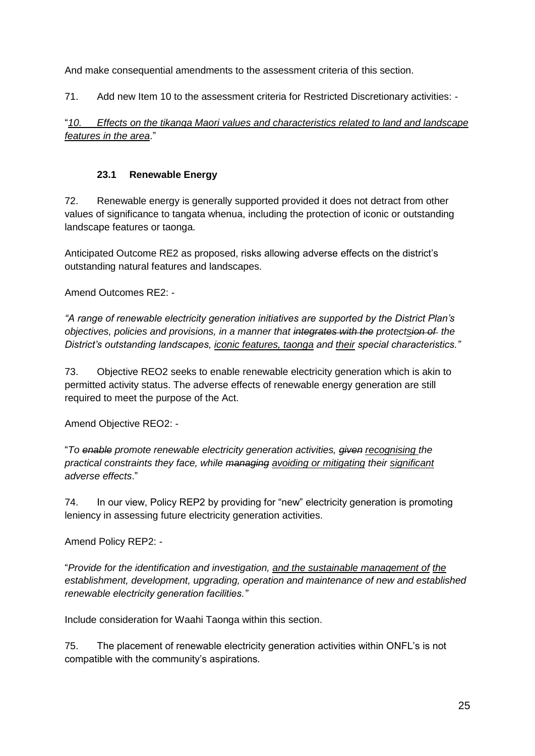And make consequential amendments to the assessment criteria of this section.

71. Add new Item 10 to the assessment criteria for Restricted Discretionary activities: -

"*10. Effects on the tikanga Maori values and characteristics related to land and landscape features in the area*."

## **23.1 Renewable Energy**

72. Renewable energy is generally supported provided it does not detract from other values of significance to tangata whenua, including the protection of iconic or outstanding landscape features or taonga.

Anticipated Outcome RE2 as proposed, risks allowing adverse effects on the district's outstanding natural features and landscapes.

Amend Outcomes RE2: -

*"A range of renewable electricity generation initiatives are supported by the District Plan's objectives, policies and provisions, in a manner that integrates with the protectsion of the District's outstanding landscapes, iconic features, taonga and their special characteristics."*

73. Objective REO2 seeks to enable renewable electricity generation which is akin to permitted activity status. The adverse effects of renewable energy generation are still required to meet the purpose of the Act.

Amend Objective REO2: -

"*To enable promote renewable electricity generation activities, given recognising the practical constraints they face, while managing avoiding or mitigating their significant adverse effects*."

74. In our view, Policy REP2 by providing for "new" electricity generation is promoting leniency in assessing future electricity generation activities.

Amend Policy REP2: -

"*Provide for the identification and investigation, and the sustainable management of the establishment, development, upgrading, operation and maintenance of new and established renewable electricity generation facilities."*

Include consideration for Waahi Taonga within this section.

75. The placement of renewable electricity generation activities within ONFL's is not compatible with the community's aspirations.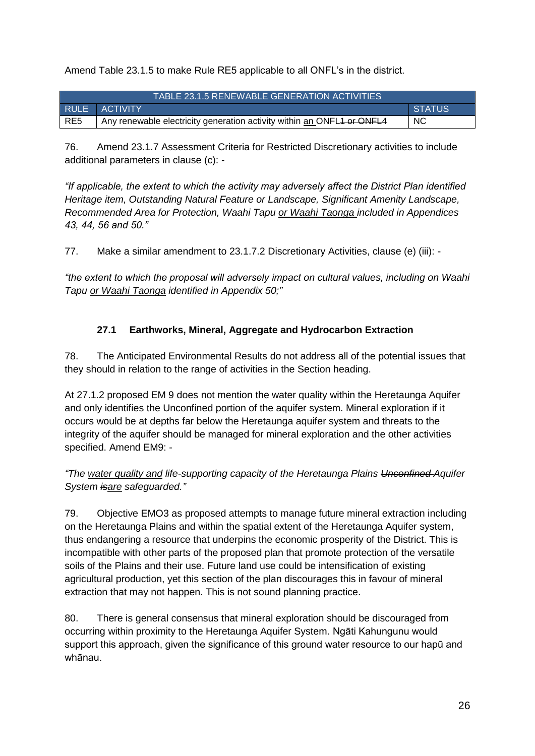Amend Table 23.1.5 to make Rule RE5 applicable to all ONFL's in the district.

| TABLE 23.1.5 RENEWABLE GENERATION ACTIVITIES |                                                                        |               |
|----------------------------------------------|------------------------------------------------------------------------|---------------|
|                                              | <b>RULE ACTIVITY</b>                                                   | <b>STATUS</b> |
| RE5                                          | Any renewable electricity generation activity within an ONFL4 or ONFL4 | <b>NC</b>     |

76. Amend 23.1.7 Assessment Criteria for Restricted Discretionary activities to include additional parameters in clause (c): -

*"If applicable, the extent to which the activity may adversely affect the District Plan identified Heritage item, Outstanding Natural Feature or Landscape, Significant Amenity Landscape, Recommended Area for Protection, Waahi Tapu or Waahi Taonga included in Appendices 43, 44, 56 and 50."*

77. Make a similar amendment to 23.1.7.2 Discretionary Activities, clause (e) (iii): -

*"the extent to which the proposal will adversely impact on cultural values, including on Waahi Tapu or Waahi Taonga identified in Appendix 50;"*

# **27.1 Earthworks, Mineral, Aggregate and Hydrocarbon Extraction**

78. The Anticipated Environmental Results do not address all of the potential issues that they should in relation to the range of activities in the Section heading.

At 27.1.2 proposed EM 9 does not mention the water quality within the Heretaunga Aquifer and only identifies the Unconfined portion of the aquifer system. Mineral exploration if it occurs would be at depths far below the Heretaunga aquifer system and threats to the integrity of the aquifer should be managed for mineral exploration and the other activities specified. Amend EM9: -

*"The water quality and life-supporting capacity of the Heretaunga Plains Unconfined Aquifer System isare safeguarded."*

79. Objective EMO3 as proposed attempts to manage future mineral extraction including on the Heretaunga Plains and within the spatial extent of the Heretaunga Aquifer system, thus endangering a resource that underpins the economic prosperity of the District. This is incompatible with other parts of the proposed plan that promote protection of the versatile soils of the Plains and their use. Future land use could be intensification of existing agricultural production, yet this section of the plan discourages this in favour of mineral extraction that may not happen. This is not sound planning practice.

80. There is general consensus that mineral exploration should be discouraged from occurring within proximity to the Heretaunga Aquifer System. Ngāti Kahungunu would support this approach, given the significance of this ground water resource to our hapū and whānau.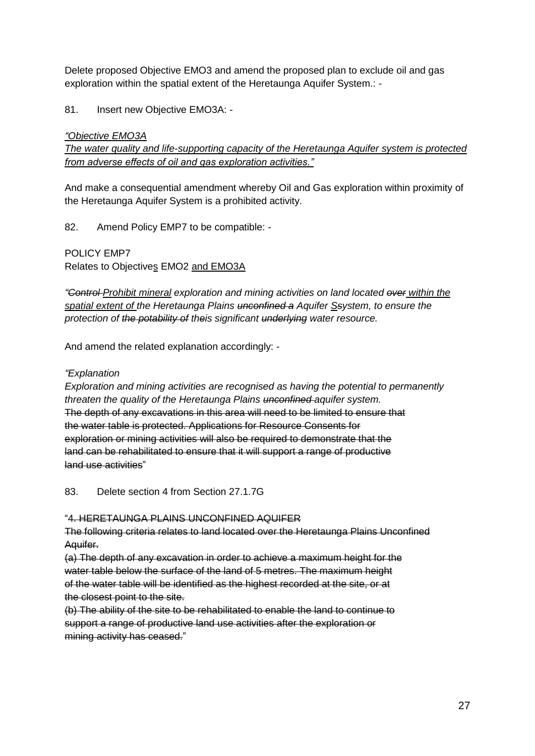Delete proposed Objective EMO3 and amend the proposed plan to exclude oil and gas exploration within the spatial extent of the Heretaunga Aquifer System.: -

#### 81. Insert new Objective EMO3A: -

#### *"Objective EMO3A*

*The water quality and life-supporting capacity of the Heretaunga Aquifer system is protected from adverse effects of oil and gas exploration activities."*

And make a consequential amendment whereby Oil and Gas exploration within proximity of the Heretaunga Aquifer System is a prohibited activity.

82. Amend Policy EMP7 to be compatible: -

POLICY EMP7 Relates to Objectives EMO2 and EMO3A

*"Control Prohibit mineral exploration and mining activities on land located over within the spatial extent of the Heretaunga Plains unconfined a Aquifer Ssystem, to ensure the protection of the potability of theis significant underlying water resource.*

And amend the related explanation accordingly: -

#### *"Explanation*

*Exploration and mining activities are recognised as having the potential to permanently threaten the quality of the Heretaunga Plains unconfined aquifer system.* The depth of any excavations in this area will need to be limited to ensure that the water table is protected. Applications for Resource Consents for exploration or mining activities will also be required to demonstrate that the land can be rehabilitated to ensure that it will support a range of productive land use activities"

83. Delete section 4 from Section 27.1.7G

#### "4. HERETAUNGA PLAINS UNCONFINED AQUIFER

The following criteria relates to land located over the Heretaunga Plains Unconfined Aquifer.

(a) The depth of any excavation in order to achieve a maximum height for the water table below the surface of the land of 5 metres. The maximum height of the water table will be identified as the highest recorded at the site, or at the closest point to the site.

(b) The ability of the site to be rehabilitated to enable the land to continue to support a range of productive land use activities after the exploration or mining activity has ceased."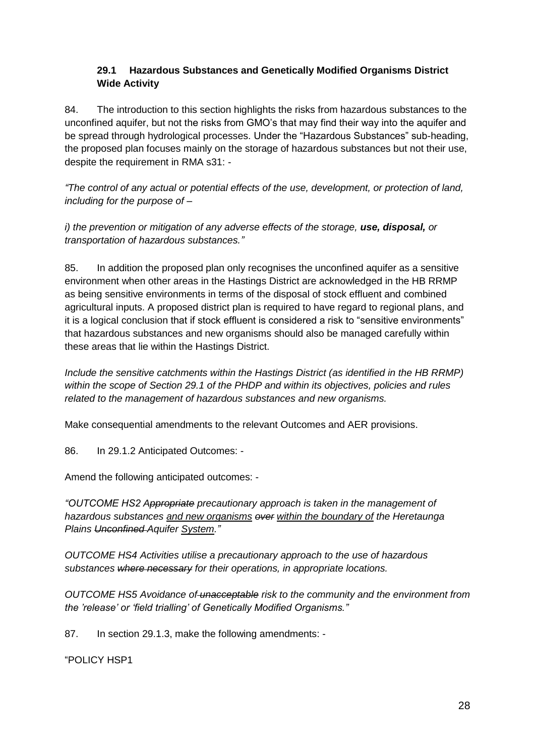### **29.1 Hazardous Substances and Genetically Modified Organisms District Wide Activity**

84. The introduction to this section highlights the risks from hazardous substances to the unconfined aquifer, but not the risks from GMO's that may find their way into the aquifer and be spread through hydrological processes. Under the "Hazardous Substances" sub-heading, the proposed plan focuses mainly on the storage of hazardous substances but not their use, despite the requirement in RMA s31: -

*"The control of any actual or potential effects of the use, development, or protection of land, including for the purpose of –*

*i) the prevention or mitigation of any adverse effects of the storage, use, disposal, or transportation of hazardous substances."*

85. In addition the proposed plan only recognises the unconfined aquifer as a sensitive environment when other areas in the Hastings District are acknowledged in the HB RRMP as being sensitive environments in terms of the disposal of stock effluent and combined agricultural inputs. A proposed district plan is required to have regard to regional plans, and it is a logical conclusion that if stock effluent is considered a risk to "sensitive environments" that hazardous substances and new organisms should also be managed carefully within these areas that lie within the Hastings District.

*Include the sensitive catchments within the Hastings District (as identified in the HB RRMP) within the scope of Section 29.1 of the PHDP and within its objectives, policies and rules related to the management of hazardous substances and new organisms.*

Make consequential amendments to the relevant Outcomes and AER provisions.

86. In 29.1.2 Anticipated Outcomes: -

Amend the following anticipated outcomes: -

*"OUTCOME HS2 Appropriate precautionary approach is taken in the management of hazardous substances and new organisms over within the boundary of the Heretaunga Plains Unconfined Aquifer System."*

*OUTCOME HS4 Activities utilise a precautionary approach to the use of hazardous substances where necessary for their operations, in appropriate locations.*

*OUTCOME HS5 Avoidance of unacceptable risk to the community and the environment from the 'release' or 'field trialling' of Genetically Modified Organisms."*

87. In section 29.1.3, make the following amendments: -

"POLICY HSP1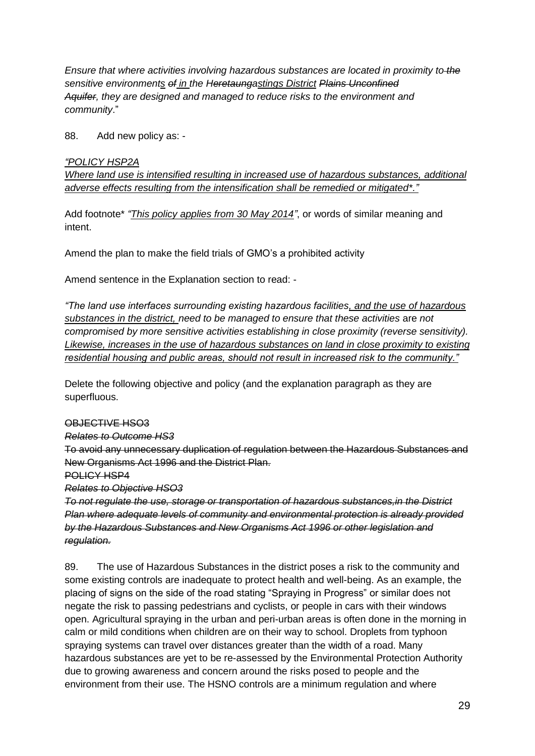*Ensure that where activities involving hazardous substances are located in proximity to the sensitive environments of in the Heretaungastings District Plains Unconfined Aquifer, they are designed and managed to reduce risks to the environment and community*."

88. Add new policy as: -

#### *"POLICY HSP2A*

*Where land use is intensified resulting in increased use of hazardous substances, additional adverse effects resulting from the intensification shall be remedied or mitigated\*."*

Add footnote\* *"This policy applies from 30 May 2014"*, or words of similar meaning and intent.

Amend the plan to make the field trials of GMO's a prohibited activity

Amend sentence in the Explanation section to read: -

*"The land use interfaces surrounding existing hazardous facilities, and the use of hazardous substances in the district, need to be managed to ensure that these activities* are *not compromised by more sensitive activities establishing in close proximity (reverse sensitivity). Likewise, increases in the use of hazardous substances on land in close proximity to existing residential housing and public areas, should not result in increased risk to the community."*

Delete the following objective and policy (and the explanation paragraph as they are superfluous.

#### OBJECTIVE HSO3

*Relates to Outcome HS3*

To avoid any unnecessary duplication of regulation between the Hazardous Substances and New Organisms Act 1996 and the District Plan.

POLICY HSP4

*Relates to Objective HSO3*

*To not regulate the use, storage or transportation of hazardous substances,in the District Plan where adequate levels of community and environmental protection is already provided by the Hazardous Substances and New Organisms Act 1996 or other legislation and regulation.*

89. The use of Hazardous Substances in the district poses a risk to the community and some existing controls are inadequate to protect health and well-being. As an example, the placing of signs on the side of the road stating "Spraying in Progress" or similar does not negate the risk to passing pedestrians and cyclists, or people in cars with their windows open. Agricultural spraying in the urban and peri-urban areas is often done in the morning in calm or mild conditions when children are on their way to school. Droplets from typhoon spraying systems can travel over distances greater than the width of a road. Many hazardous substances are yet to be re-assessed by the Environmental Protection Authority due to growing awareness and concern around the risks posed to people and the environment from their use. The HSNO controls are a minimum regulation and where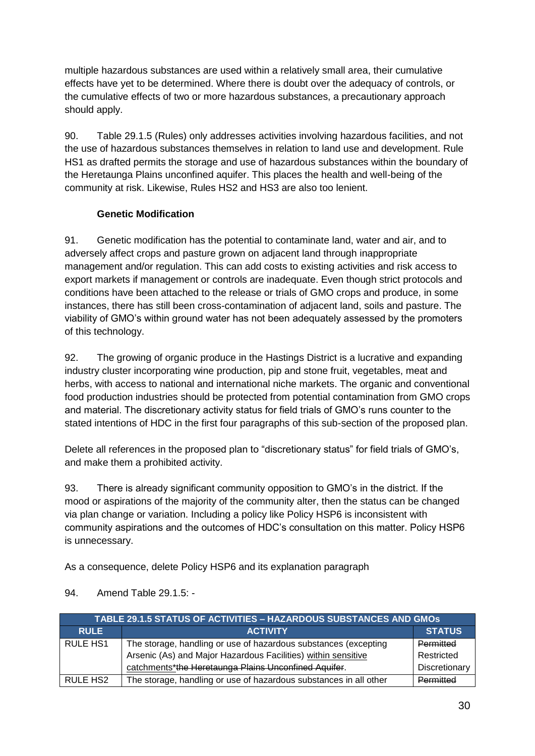multiple hazardous substances are used within a relatively small area, their cumulative effects have yet to be determined. Where there is doubt over the adequacy of controls, or the cumulative effects of two or more hazardous substances, a precautionary approach should apply.

90. Table 29.1.5 (Rules) only addresses activities involving hazardous facilities, and not the use of hazardous substances themselves in relation to land use and development. Rule HS1 as drafted permits the storage and use of hazardous substances within the boundary of the Heretaunga Plains unconfined aquifer. This places the health and well-being of the community at risk. Likewise, Rules HS2 and HS3 are also too lenient.

## **Genetic Modification**

91. Genetic modification has the potential to contaminate land, water and air, and to adversely affect crops and pasture grown on adjacent land through inappropriate management and/or regulation. This can add costs to existing activities and risk access to export markets if management or controls are inadequate. Even though strict protocols and conditions have been attached to the release or trials of GMO crops and produce, in some instances, there has still been cross-contamination of adjacent land, soils and pasture. The viability of GMO's within ground water has not been adequately assessed by the promoters of this technology.

92. The growing of organic produce in the Hastings District is a lucrative and expanding industry cluster incorporating wine production, pip and stone fruit, vegetables, meat and herbs, with access to national and international niche markets. The organic and conventional food production industries should be protected from potential contamination from GMO crops and material. The discretionary activity status for field trials of GMO's runs counter to the stated intentions of HDC in the first four paragraphs of this sub-section of the proposed plan.

Delete all references in the proposed plan to "discretionary status" for field trials of GMO's, and make them a prohibited activity.

93. There is already significant community opposition to GMO's in the district. If the mood or aspirations of the majority of the community alter, then the status can be changed via plan change or variation. Including a policy like Policy HSP6 is inconsistent with community aspirations and the outcomes of HDC's consultation on this matter. Policy HSP6 is unnecessary.

As a consequence, delete Policy HSP6 and its explanation paragraph

| <b>TABLE 29.1.5 STATUS OF ACTIVITIES - HAZARDOUS SUBSTANCES AND GMOS</b> |                                                                   |               |
|--------------------------------------------------------------------------|-------------------------------------------------------------------|---------------|
| <b>RULE</b>                                                              | <b>ACTIVITY</b>                                                   | <b>STATUS</b> |
| <b>RULE HS1</b>                                                          | The storage, handling or use of hazardous substances (excepting   | Permitted     |
|                                                                          | Arsenic (As) and Major Hazardous Facilities) within sensitive     | Restricted    |
|                                                                          | catchments*the Heretaunga Plains Unconfined Aquifer.              | Discretionary |
| RULE HS <sub>2</sub>                                                     | The storage, handling or use of hazardous substances in all other | Permitted     |

94. Amend Table 29.1.5: -